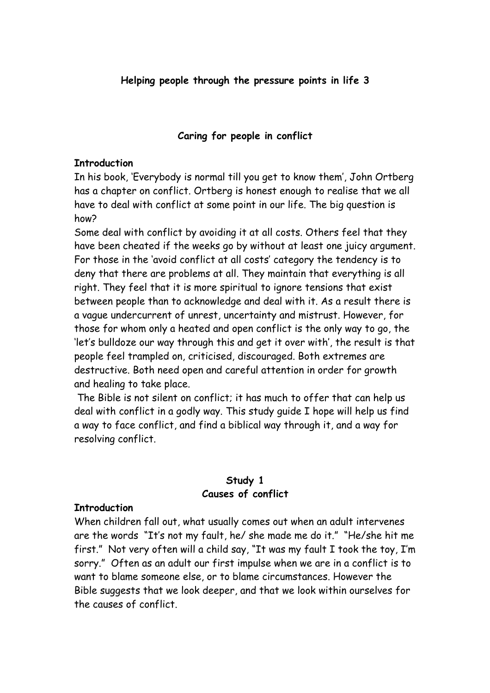#### **Helping people through the pressure points in life 3**

#### **Caring for people in conflict**

#### **Introduction**

In his book, 'Everybody is normal till you get to know them', John Ortberg has a chapter on conflict. Ortberg is honest enough to realise that we all have to deal with conflict at some point in our life. The big question is how?

Some deal with conflict by avoiding it at all costs. Others feel that they have been cheated if the weeks go by without at least one juicy argument. For those in the 'avoid conflict at all costs' category the tendency is to deny that there are problems at all. They maintain that everything is all right. They feel that it is more spiritual to ignore tensions that exist between people than to acknowledge and deal with it. As a result there is a vague undercurrent of unrest, uncertainty and mistrust. However, for those for whom only a heated and open conflict is the only way to go, the 'let's bulldoze our way through this and get it over with', the result is that people feel trampled on, criticised, discouraged. Both extremes are destructive. Both need open and careful attention in order for growth and healing to take place.

 The Bible is not silent on conflict; it has much to offer that can help us deal with conflict in a godly way. This study guide I hope will help us find a way to face conflict, and find a biblical way through it, and a way for resolving conflict.

#### **Study 1 Causes of conflict**

#### **Introduction**

When children fall out, what usually comes out when an adult intervenes are the words "It's not my fault, he/ she made me do it." "He/she hit me first." Not very often will a child say, "It was my fault I took the toy, I'm sorry." Often as an adult our first impulse when we are in a conflict is to want to blame someone else, or to blame circumstances. However the Bible suggests that we look deeper, and that we look within ourselves for the causes of conflict.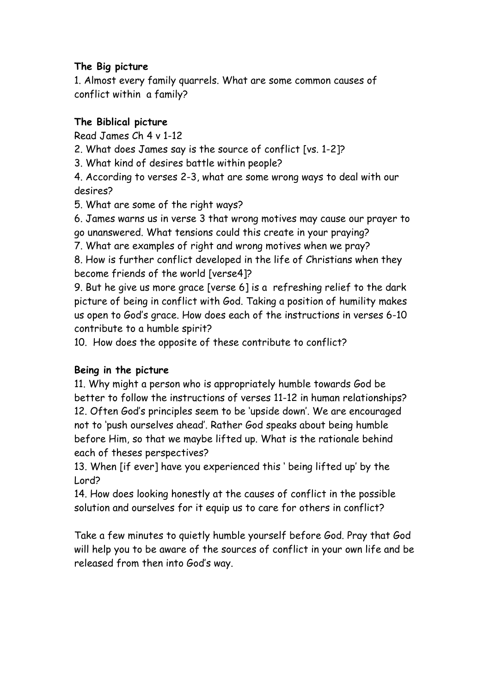## **The Big picture**

1. Almost every family quarrels. What are some common causes of conflict within a family?

## **The Biblical picture**

Read James Ch 4 v 1-12

2. What does James say is the source of conflict [vs. 1-2]?

3. What kind of desires battle within people?

4. According to verses 2-3, what are some wrong ways to deal with our desires?

5. What are some of the right ways?

6. James warns us in verse 3 that wrong motives may cause our prayer to go unanswered. What tensions could this create in your praying?

7. What are examples of right and wrong motives when we pray?

8. How is further conflict developed in the life of Christians when they become friends of the world [verse4]?

9. But he give us more grace [verse 6] is a refreshing relief to the dark picture of being in conflict with God. Taking a position of humility makes us open to God's grace. How does each of the instructions in verses 6-10 contribute to a humble spirit?

10. How does the opposite of these contribute to conflict?

## **Being in the picture**

11. Why might a person who is appropriately humble towards God be better to follow the instructions of verses 11-12 in human relationships? 12. Often God's principles seem to be 'upside down'. We are encouraged not to 'push ourselves ahead'. Rather God speaks about being humble before Him, so that we maybe lifted up. What is the rationale behind each of theses perspectives?

13. When [if ever] have you experienced this ' being lifted up' by the Lord?

14. How does looking honestly at the causes of conflict in the possible solution and ourselves for it equip us to care for others in conflict?

Take a few minutes to quietly humble yourself before God. Pray that God will help you to be aware of the sources of conflict in your own life and be released from then into God's way.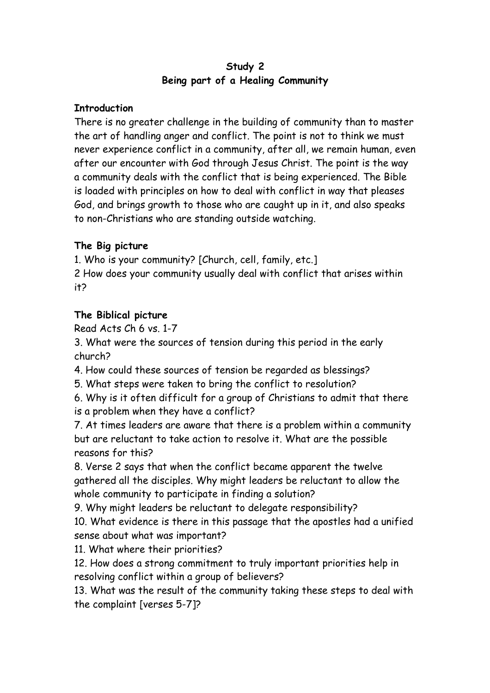### **Study 2 Being part of a Healing Community**

### **Introduction**

There is no greater challenge in the building of community than to master the art of handling anger and conflict. The point is not to think we must never experience conflict in a community, after all, we remain human, even after our encounter with God through Jesus Christ. The point is the way a community deals with the conflict that is being experienced. The Bible is loaded with principles on how to deal with conflict in way that pleases God, and brings growth to those who are caught up in it, and also speaks to non-Christians who are standing outside watching.

## **The Big picture**

1. Who is your community? [Church, cell, family, etc.]

2 How does your community usually deal with conflict that arises within it?

## **The Biblical picture**

Read Acts Ch 6 vs. 1-7

3. What were the sources of tension during this period in the early church?

4. How could these sources of tension be regarded as blessings?

5. What steps were taken to bring the conflict to resolution?

6. Why is it often difficult for a group of Christians to admit that there is a problem when they have a conflict?

7. At times leaders are aware that there is a problem within a community but are reluctant to take action to resolve it. What are the possible reasons for this?

8. Verse 2 says that when the conflict became apparent the twelve gathered all the disciples. Why might leaders be reluctant to allow the whole community to participate in finding a solution?

9. Why might leaders be reluctant to delegate responsibility? 10. What evidence is there in this passage that the apostles had a unified

sense about what was important?

11. What where their priorities?

12. How does a strong commitment to truly important priorities help in resolving conflict within a group of believers?

13. What was the result of the community taking these steps to deal with the complaint [verses 5-7]?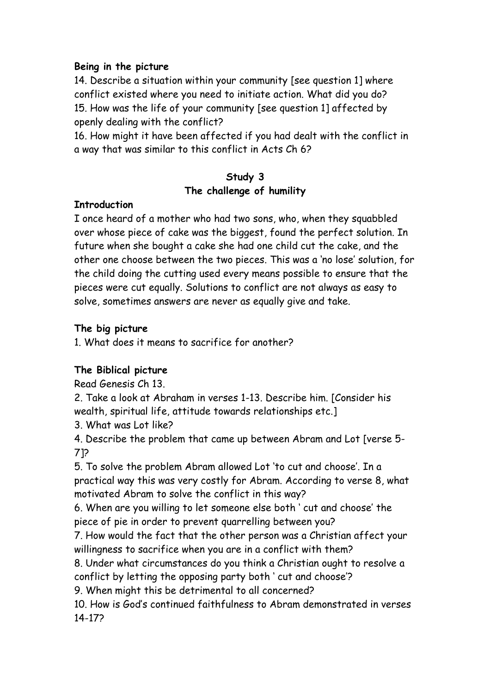14. Describe a situation within your community [see question 1] where conflict existed where you need to initiate action. What did you do? 15. How was the life of your community [see question 1] affected by openly dealing with the conflict?

16. How might it have been affected if you had dealt with the conflict in a way that was similar to this conflict in Acts Ch 6?

## **Study 3 The challenge of humility**

#### **Introduction**

I once heard of a mother who had two sons, who, when they squabbled over whose piece of cake was the biggest, found the perfect solution. In future when she bought a cake she had one child cut the cake, and the other one choose between the two pieces. This was a 'no lose' solution, for the child doing the cutting used every means possible to ensure that the pieces were cut equally. Solutions to conflict are not always as easy to solve, sometimes answers are never as equally give and take.

### **The big picture**

1. What does it means to sacrifice for another?

## **The Biblical picture**

Read Genesis Ch 13.

2. Take a look at Abraham in verses 1-13. Describe him. [Consider his wealth, spiritual life, attitude towards relationships etc.]

3. What was Lot like?

4. Describe the problem that came up between Abram and Lot [verse 5- 7]?

5. To solve the problem Abram allowed Lot 'to cut and choose'. In a practical way this was very costly for Abram. According to verse 8, what motivated Abram to solve the conflict in this way?

6. When are you willing to let someone else both ' cut and choose' the piece of pie in order to prevent quarrelling between you?

7. How would the fact that the other person was a Christian affect your willingness to sacrifice when you are in a conflict with them?

8. Under what circumstances do you think a Christian ought to resolve a conflict by letting the opposing party both ' cut and choose'?

9. When might this be detrimental to all concerned?

10. How is God's continued faithfulness to Abram demonstrated in verses 14-17?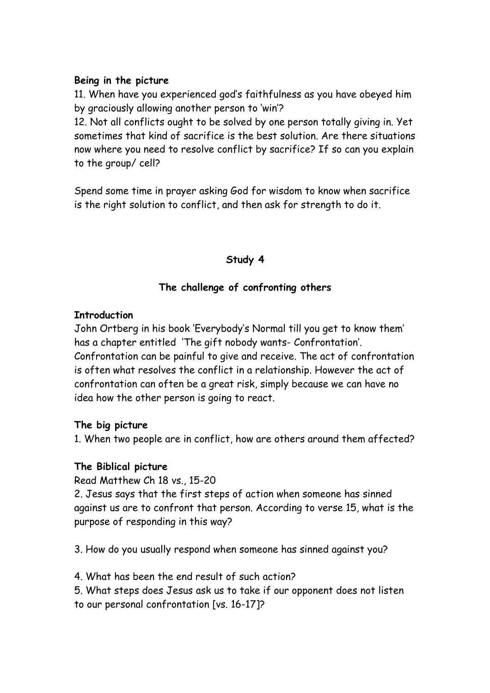11. When have you experienced god's faithfulness as you have obeyed him by graciously allowing another person to 'win'?

12. Not all conflicts ought to be solved by one person totally giving in. Yet sometimes that kind of sacrifice is the best solution. Are there situations now where you need to resolve conflict by sacrifice? If so can you explain to the group/ cell?

Spend some time in prayer asking God for wisdom to know when sacrifice is the right solution to conflict, and then ask for strength to do it.

### **Study 4**

## **The challenge of confronting others**

#### **Introduction**

John Ortberg in his book 'Everybody's Normal till you get to know them' has a chapter entitled 'The gift nobody wants- Confrontation'. Confrontation can be painful to give and receive. The act of confrontation is often what resolves the conflict in a relationship. However the act of confrontation can often be a great risk, simply because we can have no idea how the other person is going to react.

### **The big picture**

1. When two people are in conflict, how are others around them affected?

### **The Biblical picture**

Read Matthew Ch 18 vs., 15-20

2. Jesus says that the first steps of action when someone has sinned against us are to confront that person. According to verse 15, what is the purpose of responding in this way?

3. How do you usually respond when someone has sinned against you?

4. What has been the end result of such action?

5. What steps does Jesus ask us to take if our opponent does not listen to our personal confrontation [vs. 16-17]?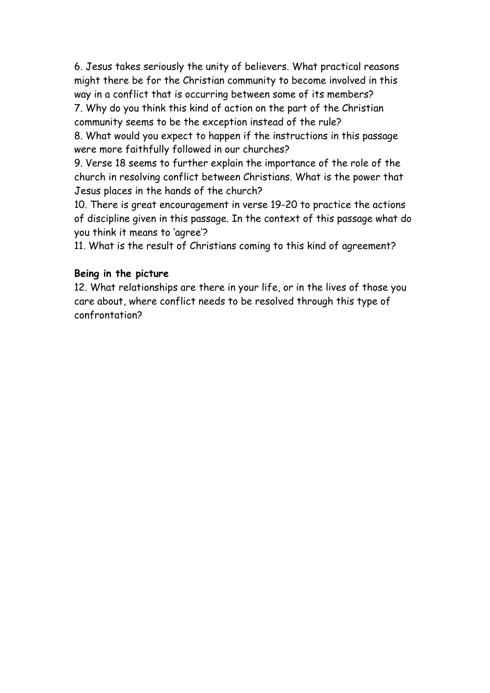6. Jesus takes seriously the unity of believers. What practical reasons might there be for the Christian community to become involved in this way in a conflict that is occurring between some of its members?

7. Why do you think this kind of action on the part of the Christian community seems to be the exception instead of the rule?

8. What would you expect to happen if the instructions in this passage were more faithfully followed in our churches?

9. Verse 18 seems to further explain the importance of the role of the church in resolving conflict between Christians. What is the power that Jesus places in the hands of the church?

10. There is great encouragement in verse 19-20 to practice the actions of discipline given in this passage. In the context of this passage what do you think it means to 'agree'?

11. What is the result of Christians coming to this kind of agreement?

#### **Being in the picture**

12. What relationships are there in your life, or in the lives of those you care about, where conflict needs to be resolved through this type of confrontation?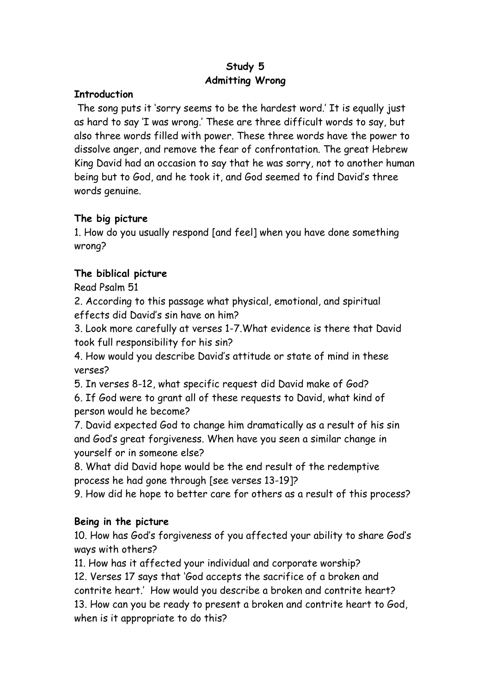# **Study 5 Admitting Wrong**

#### **Introduction**

 The song puts it 'sorry seems to be the hardest word.' It is equally just as hard to say 'I was wrong.' These are three difficult words to say, but also three words filled with power. These three words have the power to dissolve anger, and remove the fear of confrontation. The great Hebrew King David had an occasion to say that he was sorry, not to another human being but to God, and he took it, and God seemed to find David's three words genuine.

## **The big picture**

1. How do you usually respond [and feel] when you have done something wrong?

## **The biblical picture**

Read Psalm 51

2. According to this passage what physical, emotional, and spiritual effects did David's sin have on him?

3. Look more carefully at verses 1-7.What evidence is there that David took full responsibility for his sin?

4. How would you describe David's attitude or state of mind in these verses?

5. In verses 8-12, what specific request did David make of God?

6. If God were to grant all of these requests to David, what kind of person would he become?

7. David expected God to change him dramatically as a result of his sin and God's great forgiveness. When have you seen a similar change in yourself or in someone else?

8. What did David hope would be the end result of the redemptive process he had gone through [see verses 13-19]?

9. How did he hope to better care for others as a result of this process?

## **Being in the picture**

10. How has God's forgiveness of you affected your ability to share God's ways with others?

11. How has it affected your individual and corporate worship?

12. Verses 17 says that 'God accepts the sacrifice of a broken and contrite heart.' How would you describe a broken and contrite heart? 13. How can you be ready to present a broken and contrite heart to God, when is it appropriate to do this?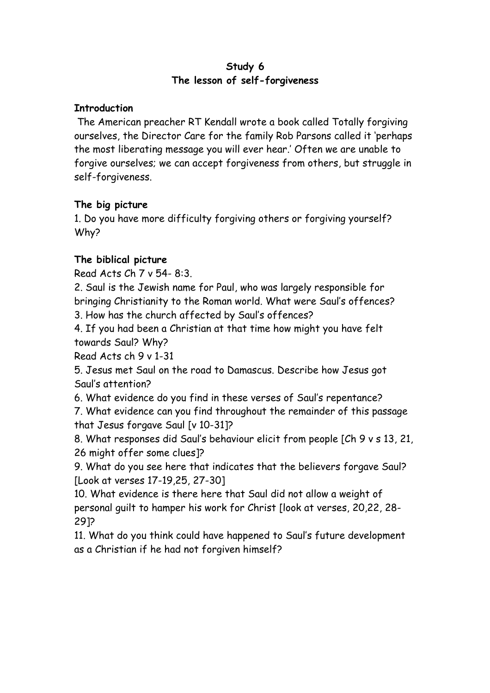#### **Study 6 The lesson of self-forgiveness**

### **Introduction**

 The American preacher RT Kendall wrote a book called Totally forgiving ourselves, the Director Care for the family Rob Parsons called it 'perhaps the most liberating message you will ever hear.' Often we are unable to forgive ourselves; we can accept forgiveness from others, but struggle in self-forgiveness.

### **The big picture**

1. Do you have more difficulty forgiving others or forgiving yourself? Why?

## **The biblical picture**

Read Acts Ch 7 v 54- 8:3.

2. Saul is the Jewish name for Paul, who was largely responsible for bringing Christianity to the Roman world. What were Saul's offences?

3. How has the church affected by Saul's offences?

4. If you had been a Christian at that time how might you have felt towards Saul? Why?

Read Acts ch 9 v 1-31

5. Jesus met Saul on the road to Damascus. Describe how Jesus got Saul's attention?

6. What evidence do you find in these verses of Saul's repentance?

7. What evidence can you find throughout the remainder of this passage that Jesus forgave Saul [v 10-31]?

8. What responses did Saul's behaviour elicit from people [Ch 9 v s 13, 21, 26 might offer some clues]?

9. What do you see here that indicates that the believers forgave Saul? [Look at verses 17-19,25, 27-30]

10. What evidence is there here that Saul did not allow a weight of personal guilt to hamper his work for Christ [look at verses, 20,22, 28- 29]?

11. What do you think could have happened to Saul's future development as a Christian if he had not forgiven himself?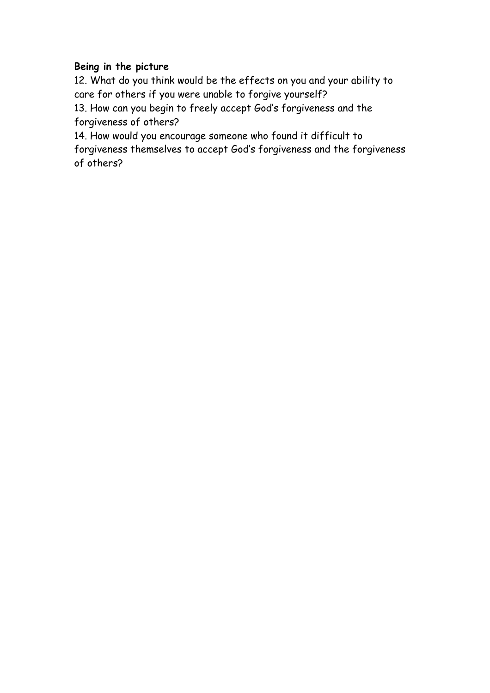12. What do you think would be the effects on you and your ability to care for others if you were unable to forgive yourself?

13. How can you begin to freely accept God's forgiveness and the forgiveness of others?

14. How would you encourage someone who found it difficult to forgiveness themselves to accept God's forgiveness and the forgiveness of others?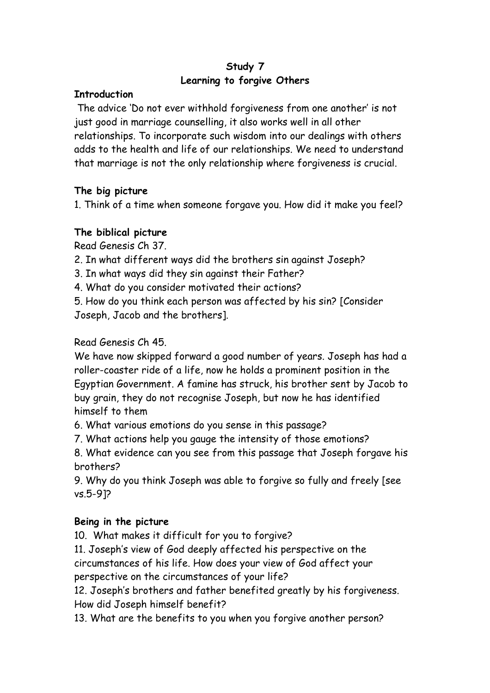## **Study 7 Learning to forgive Others**

### **Introduction**

 The advice 'Do not ever withhold forgiveness from one another' is not just good in marriage counselling, it also works well in all other relationships. To incorporate such wisdom into our dealings with others adds to the health and life of our relationships. We need to understand that marriage is not the only relationship where forgiveness is crucial.

## **The big picture**

1. Think of a time when someone forgave you. How did it make you feel?

## **The biblical picture**

Read Genesis Ch 37.

2. In what different ways did the brothers sin against Joseph?

3. In what ways did they sin against their Father?

4. What do you consider motivated their actions?

5. How do you think each person was affected by his sin? [Consider Joseph, Jacob and the brothers].

## Read Genesis Ch 45.

We have now skipped forward a good number of years. Joseph has had a roller-coaster ride of a life, now he holds a prominent position in the Egyptian Government. A famine has struck, his brother sent by Jacob to buy grain, they do not recognise Joseph, but now he has identified himself to them

6. What various emotions do you sense in this passage?

7. What actions help you gauge the intensity of those emotions?

8. What evidence can you see from this passage that Joseph forgave his brothers?

9. Why do you think Joseph was able to forgive so fully and freely [see vs.5-9]?

## **Being in the picture**

10. What makes it difficult for you to forgive?

11. Joseph's view of God deeply affected his perspective on the circumstances of his life. How does your view of God affect your perspective on the circumstances of your life?

12. Joseph's brothers and father benefited greatly by his forgiveness. How did Joseph himself benefit?

13. What are the benefits to you when you forgive another person?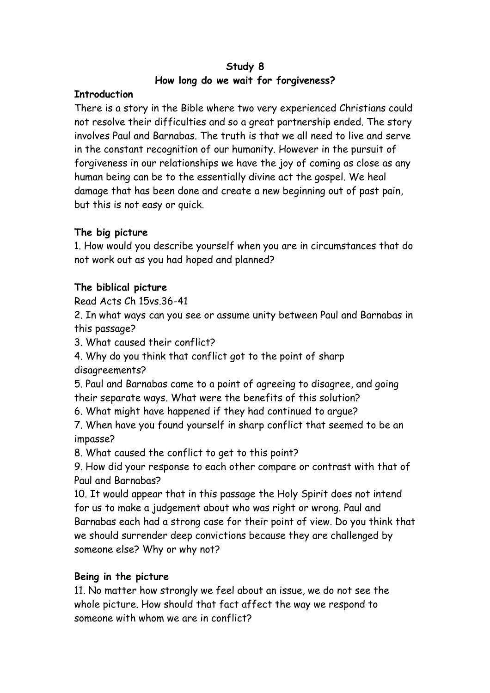## **Study 8 How long do we wait for forgiveness?**

### **Introduction**

There is a story in the Bible where two very experienced Christians could not resolve their difficulties and so a great partnership ended. The story involves Paul and Barnabas. The truth is that we all need to live and serve in the constant recognition of our humanity. However in the pursuit of forgiveness in our relationships we have the joy of coming as close as any human being can be to the essentially divine act the gospel. We heal damage that has been done and create a new beginning out of past pain, but this is not easy or quick.

# **The big picture**

1. How would you describe yourself when you are in circumstances that do not work out as you had hoped and planned?

# **The biblical picture**

Read Acts Ch 15vs.36-41

2. In what ways can you see or assume unity between Paul and Barnabas in this passage?

3. What caused their conflict?

4. Why do you think that conflict got to the point of sharp disagreements?

5. Paul and Barnabas came to a point of agreeing to disagree, and going their separate ways. What were the benefits of this solution?

6. What might have happened if they had continued to argue?

7. When have you found yourself in sharp conflict that seemed to be an impasse?

8. What caused the conflict to get to this point?

9. How did your response to each other compare or contrast with that of Paul and Barnabas?

10. It would appear that in this passage the Holy Spirit does not intend for us to make a judgement about who was right or wrong. Paul and Barnabas each had a strong case for their point of view. Do you think that we should surrender deep convictions because they are challenged by someone else? Why or why not?

# **Being in the picture**

11. No matter how strongly we feel about an issue, we do not see the whole picture. How should that fact affect the way we respond to someone with whom we are in conflict?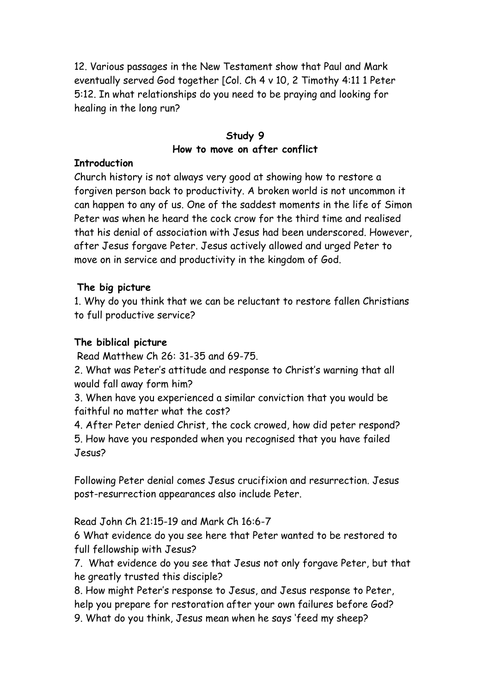12. Various passages in the New Testament show that Paul and Mark eventually served God together [Col. Ch 4 v 10, 2 Timothy 4:11 1 Peter 5:12. In what relationships do you need to be praying and looking for healing in the long run?

### **Study 9 How to move on after conflict**

#### **Introduction**

Church history is not always very good at showing how to restore a forgiven person back to productivity. A broken world is not uncommon it can happen to any of us. One of the saddest moments in the life of Simon Peter was when he heard the cock crow for the third time and realised that his denial of association with Jesus had been underscored. However, after Jesus forgave Peter. Jesus actively allowed and urged Peter to move on in service and productivity in the kingdom of God.

### **The big picture**

1. Why do you think that we can be reluctant to restore fallen Christians to full productive service?

## **The biblical picture**

Read Matthew Ch 26: 31-35 and 69-75.

2. What was Peter's attitude and response to Christ's warning that all would fall away form him?

3. When have you experienced a similar conviction that you would be faithful no matter what the cost?

4. After Peter denied Christ, the cock crowed, how did peter respond? 5. How have you responded when you recognised that you have failed Jesus?

Following Peter denial comes Jesus crucifixion and resurrection. Jesus post-resurrection appearances also include Peter.

Read John Ch 21:15-19 and Mark Ch 16:6-7

6 What evidence do you see here that Peter wanted to be restored to full fellowship with Jesus?

7. What evidence do you see that Jesus not only forgave Peter, but that he greatly trusted this disciple?

8. How might Peter's response to Jesus, and Jesus response to Peter, help you prepare for restoration after your own failures before God? 9. What do you think, Jesus mean when he says 'feed my sheep?